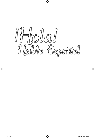

 $\bigoplus$ 

 $\bigoplus$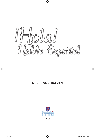

 $\bigoplus$ 

## **NURUL SABRINA ZAN**



⊕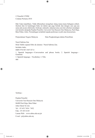© Penerbit UTHM Cetakan Pertama 2010

Hak Cipta terpelihara. Tidak dibenarkan mengeluar ulang mana-mana bahagian artikel, ilustrasi dan isi kandungan buku ini dalam apa juga bentuk dan dengan cara apa jua sama ada secara elektronik, fotokopi, mekanik, rakaman atau cara lain sebelum mendapat izin bertulis daripada Pejabat Penerbit, Universiti Tun Hussein Onn Malaysia, Parit Raja, Batu Pahat, Johor. Perundingan tertakluk kepada perkiraan royalti atau honorarium.

 $\bigoplus$ 

Perpustakaan Negara Malaysia Data Pengkatalogan-dalam-Penerbitan

Nurul Sabrina Zan Hola! Hablo espanol libro de alumno / Nurul Sabrina Zan. Includes index ISBN 978-967-5457-07-4 1. Spanish languages---Conversation and phrase books. 2. Spanish language— Grammar. 3. Spanish language—Vocabulary. I. Title.

468

⊕

Terbitan :

Pejabat Penerbit Universiti Tun Hussein Onn Malaysia 86400 Parit Raja, Batu Pahat Johor Darul Ta'zim Tel : 07-453 7454 / 7452 Faks : 07-453 6145 Laman Web : www.uthm.edu.my/pt E-mel : pt@uthm.edu.my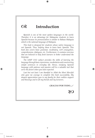## $\Omega$ **Introduction**

*Spanish is one of the most spoken languages in the world. Therefore it is an advantage for Malaysian students to learn Spanish because its pronunciation is similar to Bahasa Malaysia which is the national language of Malaysia.*

⊕

*This book is designed for students whose native language is not Spanish. Thus, helping them to learn basic Spanish. This book also covers basic grammar, vocabulary, verb conjugation, comprehension, dialogues, etc. Furthermore, it contains exercises that are believed to help fresh learners to better understand the language.*

*The UMP 1312 subject provides the skills of learning the language through basic expressions, vocabularies and constructing simple sentences in everyday life. Hence, studying Spanish language with patience and passion will be a valuable tool that serve the future when you least expected.*

Last but not least I am thankful to Allah the Most Merciful *who gave me courage to complete this book successfully. My deepest appreciation goes to my family for their endless support and blessings and to all my friends and my lecturers.*

 *GRACIAS POR TODO...*



⊕